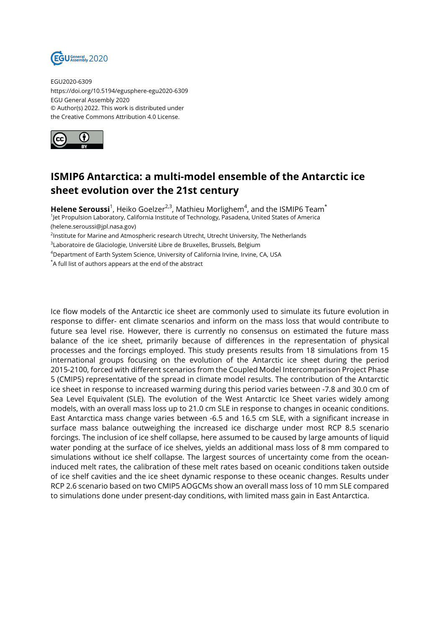

EGU2020-6309 https://doi.org/10.5194/egusphere-egu2020-6309 EGU General Assembly 2020 © Author(s) 2022. This work is distributed under the Creative Commons Attribution 4.0 License.



## **ISMIP6 Antarctica: a multi-model ensemble of the Antarctic ice sheet evolution over the 21st century**

**Helene Seroussi**<sup>1</sup>, Heiko Goelzer<sup>2,3</sup>, Mathieu Morlighem<sup>4</sup>, and the ISMIP6 Team $^{\star}$ 

1 Jet Propulsion Laboratory, California Institute of Technology, Pasadena, United States of America (helene.seroussi@jpl.nasa.gov)

<sup>2</sup>lnstitute for Marine and Atmospheric research Utrecht, Utrecht University, The Netherlands

 $^3$ Laboratoire de Glaciologie, Université Libre de Bruxelles, Brussels, Belgium

<sup>4</sup>Department of Earth System Science, University of California Irvine, Irvine, CA, USA

\*A full list of authors appears at the end of the abstract

Ice flow models of the Antarctic ice sheet are commonly used to simulate its future evolution in response to differ- ent climate scenarios and inform on the mass loss that would contribute to future sea level rise. However, there is currently no consensus on estimated the future mass balance of the ice sheet, primarily because of differences in the representation of physical processes and the forcings employed. This study presents results from 18 simulations from 15 international groups focusing on the evolution of the Antarctic ice sheet during the period 2015-2100, forced with different scenarios from the Coupled Model Intercomparison Project Phase 5 (CMIP5) representative of the spread in climate model results. The contribution of the Antarctic ice sheet in response to increased warming during this period varies between -7.8 and 30.0 cm of Sea Level Equivalent (SLE). The evolution of the West Antarctic Ice Sheet varies widely among models, with an overall mass loss up to 21.0 cm SLE in response to changes in oceanic conditions. East Antarctica mass change varies between -6.5 and 16.5 cm SLE, with a significant increase in surface mass balance outweighing the increased ice discharge under most RCP 8.5 scenario forcings. The inclusion of ice shelf collapse, here assumed to be caused by large amounts of liquid water ponding at the surface of ice shelves, yields an additional mass loss of 8 mm compared to simulations without ice shelf collapse. The largest sources of uncertainty come from the oceaninduced melt rates, the calibration of these melt rates based on oceanic conditions taken outside of ice shelf cavities and the ice sheet dynamic response to these oceanic changes. Results under RCP 2.6 scenario based on two CMIP5 AOGCMs show an overall mass loss of 10 mm SLE compared to simulations done under present-day conditions, with limited mass gain in East Antarctica.